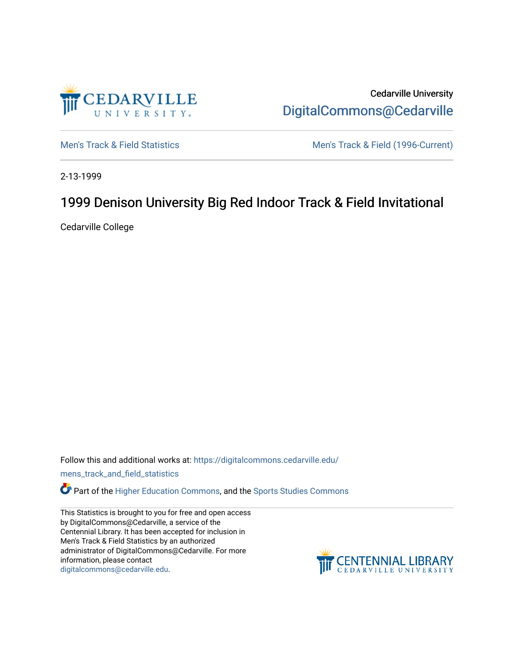

Cedarville University [DigitalCommons@Cedarville](https://digitalcommons.cedarville.edu/) 

[Men's Track & Field Statistics](https://digitalcommons.cedarville.edu/mens_track_and_field_statistics) [Men's Track & Field \(1996-Current\)](https://digitalcommons.cedarville.edu/mens_track_and_field) 

2-13-1999

# 1999 Denison University Big Red Indoor Track & Field Invitational

Cedarville College

Follow this and additional works at: [https://digitalcommons.cedarville.edu/](https://digitalcommons.cedarville.edu/mens_track_and_field_statistics?utm_source=digitalcommons.cedarville.edu%2Fmens_track_and_field_statistics%2F62&utm_medium=PDF&utm_campaign=PDFCoverPages)

[mens\\_track\\_and\\_field\\_statistics](https://digitalcommons.cedarville.edu/mens_track_and_field_statistics?utm_source=digitalcommons.cedarville.edu%2Fmens_track_and_field_statistics%2F62&utm_medium=PDF&utm_campaign=PDFCoverPages)

**Part of the [Higher Education Commons,](http://network.bepress.com/hgg/discipline/1245?utm_source=digitalcommons.cedarville.edu%2Fmens_track_and_field_statistics%2F62&utm_medium=PDF&utm_campaign=PDFCoverPages) and the Sports Studies Commons** 

This Statistics is brought to you for free and open access by DigitalCommons@Cedarville, a service of the Centennial Library. It has been accepted for inclusion in Men's Track & Field Statistics by an authorized administrator of DigitalCommons@Cedarville. For more information, please contact [digitalcommons@cedarville.edu](mailto:digitalcommons@cedarville.edu).

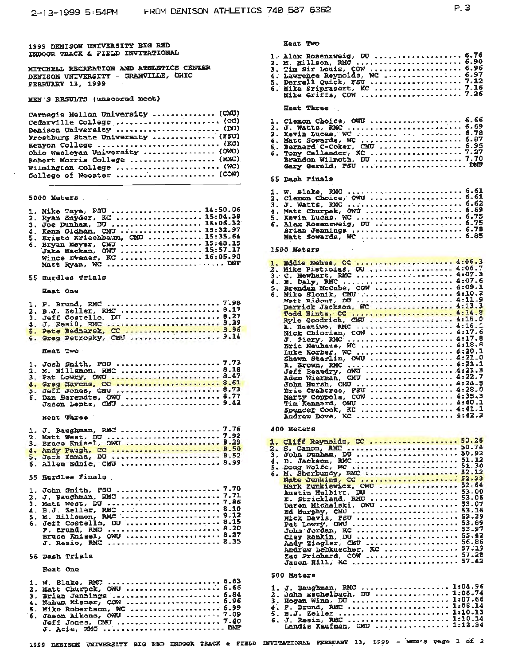والمساويات

MITCHELL RECREATION AND ATHLETICS CENTER DENISON UNIVERSITY - GRANVILLE, OHIO FRARUARY 13, 1999

# MEN'S RESULTS (unscored meet)

| Carnegie Mellon University  (CMU) |
|-----------------------------------|
| Cedarville College  (CC)          |
| Denison University  (DU)          |
| Frostburg State University  (FSU) |
| Kenyon College  (KC)              |
| Ohio Wesleyan University  (ONU)   |
| Robert Morris College  (RMC)      |
| Wilmington College  (WC)          |
| College of Wooster  (COW)         |
|                                   |

#### 5000 Meters

| 1. Mike Taye, FSU  14:50.06         |  |
|-------------------------------------|--|
| 2. Ryan Snyder, KC  15:04.38        |  |
| 3. Joe Dunham, DU  15:06.32         |  |
| 4. Kenn Oldham, CMU  15:32.97       |  |
| 5. Kristo Kriechbaum, CMU  15:35.64 |  |
| 6. Bryan Meyer, CMU  15:49.15       |  |
| Jake Mackan, OWU  15:57.17          |  |
|                                     |  |
| Wince Evener, KC  16:05.90          |  |
| Matt Ryan, WC  DNF                  |  |

#### 55 Burdles Trials

#### **Heat One**

|          | 2, B.J. Zeller, RMC  8.17   |  |  |  |  |  |  |  |  |  |  |  |  |
|----------|-----------------------------|--|--|--|--|--|--|--|--|--|--|--|--|
|          | 3. Jeff Costello, DU  8.27  |  |  |  |  |  |  |  |  |  |  |  |  |
|          | 4. J. Resi0, RMC  8.29      |  |  |  |  |  |  |  |  |  |  |  |  |
|          | 5. Pete Bednarek, CC  8.96  |  |  |  |  |  |  |  |  |  |  |  |  |
|          | 6. Greg Petrosky, CMU  9.14 |  |  |  |  |  |  |  |  |  |  |  |  |
| Heat Two |                             |  |  |  |  |  |  |  |  |  |  |  |  |

| 2. M. Hillsmon, RMC  8.18  |
|----------------------------|
| 3. Pat Lowry, OWU  8.47    |
| 4. Greg Havens, CC  8.61   |
| 5. Jeff Jones, CMU  8.73   |
| 6. Dan Berendte, OWU  8.77 |
| Jason Lentz, CMU 9.42      |
|                            |

## Heat Three

| 1. J. Baughman, RMC  7.76  |  |
|----------------------------|--|
|                            |  |
| 3. Bruce Knisel, OWU  8.29 |  |
| 4. Andy Paugh, CC  8.50    |  |
| 5. Jack Inman, DU  8.52    |  |
| 6. Allen Ednie, CMU  8.99  |  |

#### 55 Eurdles Finals

| 1. John Smith, FSU  7.70   |  |
|----------------------------|--|
| 2. J. Baughman, RMC  7.71  |  |
| 3. Matt West, DU 7.86      |  |
| 4. B.J. Zeller, RMC  8.10  |  |
| 5. M. Hillsmon, RMC  8.12  |  |
| 6. Jeff Costello, DU  8.15 |  |
| F. Brund. RMC  8.20        |  |
| Bruce Knisel, OWU  8.27    |  |
| J. Resio, RMC  8.35        |  |

#### 55 Dash Trials

#### **Heat One**

| 1. W. Blake, RMC  6.63<br>2. Matt Churpek, OWU  6.66<br>3. Brian Jennings  6.84<br>4. Nahum Kisner, COW  6.96<br>5. Mike Robertson, WC  6.99<br>Jeff Jones, CMU  7.40 |  |
|-----------------------------------------------------------------------------------------------------------------------------------------------------------------------|--|
| J. Acie, RMC  DNP                                                                                                                                                     |  |

|          | <b>Heat Two</b> |                                                                           |  |
|----------|-----------------|---------------------------------------------------------------------------|--|
|          |                 | 1. Alex Rosenzweig, DU  6.76<br>2. M. Hillson, RMC  6.90                  |  |
|          |                 |                                                                           |  |
|          |                 |                                                                           |  |
|          |                 |                                                                           |  |
|          |                 |                                                                           |  |
|          |                 |                                                                           |  |
|          |                 | <b>Heat Three</b>                                                         |  |
| 1.       |                 | Clemon Choice, OWU  6.66                                                  |  |
| 2.       |                 | J. Watts, RMC  6.69                                                       |  |
| З.       |                 |                                                                           |  |
| 4.       |                 |                                                                           |  |
| 5.<br>б. |                 |                                                                           |  |
|          |                 |                                                                           |  |
|          |                 |                                                                           |  |
| 55       |                 | Dash Finals                                                               |  |
|          |                 |                                                                           |  |
| 1.<br>2. |                 |                                                                           |  |
| з.       |                 | J. Watts, RMC  6.62                                                       |  |
| 4.       |                 | Matt Churpek, OWU  6.69                                                   |  |
| 5.       |                 | Kevin Lucas, WC  6.75                                                     |  |
| 6.       |                 | Alex Rosensweig, DU  6.75                                                 |  |
|          |                 | Matt Sowards, WC  6.85                                                    |  |
|          |                 |                                                                           |  |
|          | 1500 Meters     |                                                                           |  |
|          |                 | 1. Eddie Nehus, CC  4:06.3                                                |  |
|          |                 | 2. Mike Pistiolas, DU  4:06.7<br>3. C. Newhart, RMC  4.07.3               |  |
|          |                 | 4. E. Daly, RMC  4:07.6                                                   |  |
|          |                 | 5. Brendan McCabe, COW  4:09.1                                            |  |
|          |                 | 6. Mike Slonik, CMU  4:10.2                                               |  |
|          |                 |                                                                           |  |
|          |                 | Todd Hintz, CC  4:14.8                                                    |  |
|          |                 | Ryle Goodrich, CMU  4:15.0                                                |  |
|          |                 | A. Hnatiwo, RMC  4:16.1                                                   |  |
|          |                 |                                                                           |  |
|          |                 |                                                                           |  |
|          |                 | Luke Korber, WC  4:20.1                                                   |  |
|          |                 | Shawn Starlin, OWU  4:21.0<br>R. Brown, RMC  4:21.1                       |  |
|          |                 |                                                                           |  |
|          |                 | Jeff Beaudry, OWU  4:21.3<br>Adam Wierman, CMU  4:22.7                    |  |
|          |                 |                                                                           |  |
|          |                 | Marty Coppola, COW  4:35.3                                                |  |
|          |                 | Tim Rennard, ONU  4:40.1                                                  |  |
|          |                 | spencer Cook, EC  4:41.1                                                  |  |
|          |                 | Andrew Dove, KC  4:42.2                                                   |  |
|          | 400 Meters      |                                                                           |  |
| 1.       |                 | Cliff Reynolds, CC  50.26                                                 |  |
| $2 -$    |                 |                                                                           |  |
| З,       |                 |                                                                           |  |
| 4.       |                 | D. Jackson, RMC  51.12<br>5. Doug Wolfe, WC  51.30                        |  |
| 6.       |                 |                                                                           |  |
|          |                 |                                                                           |  |
|          |                 | Austin Hulbirt, DU  53.00                                                 |  |
|          |                 | E. Strickland, RMC  53.06                                                 |  |
|          |                 |                                                                           |  |
|          |                 |                                                                           |  |
|          |                 | Nick Davis, PSU  53.39                                                    |  |
|          |                 | Pat Lowry, GWU  53.89<br>John Jordan, KC  53.97<br>Clay Rankin, DU  55.42 |  |
|          |                 |                                                                           |  |
|          |                 | Andy Ziegler, CMU  56.86                                                  |  |
|          |                 | Andrew Lebkuecher, KC  57.19<br>Zac Prichard, COM  57.28                  |  |
|          |                 | Jason Hill, KC  57.42                                                     |  |

#### 500 Maters

| 1. J. Baughman, RMC  1:04.96<br>2. John Eschelbach, DU  1:06.74<br>3. Hogan Winn, DU  1:07.66<br>4. F. Brund, RMC  1:08.14<br>5. B.J. Zeller  1:10.13 |  |
|-------------------------------------------------------------------------------------------------------------------------------------------------------|--|
| 5. J. Resin, RMC  1:10.14<br>Landis Kaufman, CMU  1:12.34                                                                                             |  |